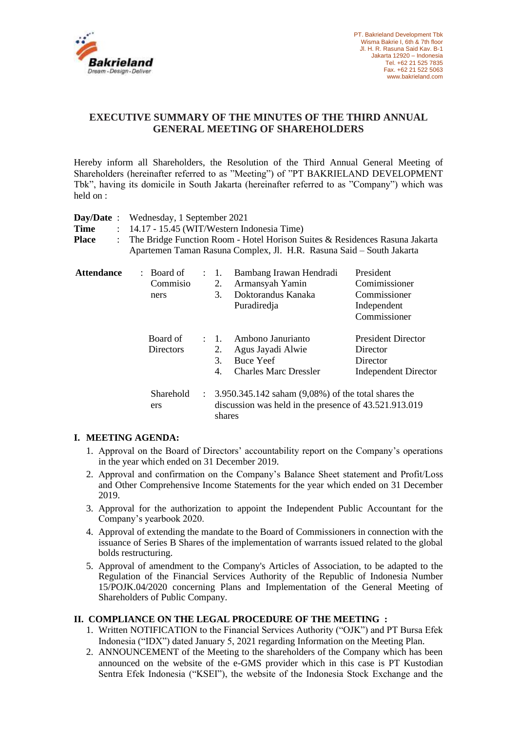

# **EXECUTIVE SUMMARY OF THE MINUTES OF THE THIRD ANNUAL GENERAL MEETING OF SHAREHOLDERS**

Hereby inform all Shareholders, the Resolution of the Third Annual General Meeting of Shareholders (hereinafter referred to as "Meeting") of "PT BAKRIELAND DEVELOPMENT Tbk", having its domicile in South Jakarta (hereinafter referred to as "Company") which was held on :

| $Day/Date$ :                  | Wednesday, 1 September 2021                                                                                                                         |  |                                                                                                                                     |                                                                                            |                                                                                  |
|-------------------------------|-----------------------------------------------------------------------------------------------------------------------------------------------------|--|-------------------------------------------------------------------------------------------------------------------------------------|--------------------------------------------------------------------------------------------|----------------------------------------------------------------------------------|
| <b>Time</b>                   | $\therefore$ 14.17 - 15.45 (WIT/Western Indonesia Time)                                                                                             |  |                                                                                                                                     |                                                                                            |                                                                                  |
| <b>Place</b><br>$\mathcal{L}$ | The Bridge Function Room - Hotel Horison Suites & Residences Rasuna Jakarta<br>Apartemen Taman Rasuna Complex, Jl. H.R. Rasuna Said - South Jakarta |  |                                                                                                                                     |                                                                                            |                                                                                  |
| <b>Attendance</b>             | : Board of<br>Commisio<br>ners                                                                                                                      |  | $\therefore$ 1.<br>2.<br>3.                                                                                                         | Bambang Irawan Hendradi<br>Armansyah Yamin<br>Doktorandus Kanaka<br>Puradiredja            | President<br>Comimissioner<br>Commissioner<br>Independent<br>Commissioner        |
|                               | Board of<br>Directors                                                                                                                               |  | $\therefore$ 1.<br>2.<br>3.<br>4.                                                                                                   | Ambono Janurianto<br>Agus Jayadi Alwie<br><b>Buce Yeef</b><br><b>Charles Marc Dressler</b> | <b>President Director</b><br>Director<br>Director<br><b>Independent Director</b> |
|                               | Sharehold<br>ers                                                                                                                                    |  | $\therefore$ 3.950.345.142 saham (9,08%) of the total shares the<br>discussion was held in the presence of 43.521.913.019<br>shares |                                                                                            |                                                                                  |

## **I. MEETING AGENDA:**

- 1. Approval on the Board of Directors' accountability report on the Company's operations in the year which ended on 31 December 2019.
- 2. Approval and confirmation on the Company's Balance Sheet statement and Profit/Loss and Other Comprehensive Income Statements for the year which ended on 31 December 2019.
- 3. Approval for the authorization to appoint the Independent Public Accountant for the Company's yearbook 2020.
- 4. Approval of extending the mandate to the Board of Commissioners in connection with the issuance of Series B Shares of the implementation of warrants issued related to the global bolds restructuring.
- 5. Approval of amendment to the Company's Articles of Association, to be adapted to the Regulation of the Financial Services Authority of the Republic of Indonesia Number 15/POJK.04/2020 concerning Plans and Implementation of the General Meeting of Shareholders of Public Company.

## **II. COMPLIANCE ON THE LEGAL PROCEDURE OF THE MEETING :**

- 1. Written NOTIFICATION to the Financial Services Authority ("OJK") and PT Bursa Efek Indonesia ("IDX") dated January 5, 2021 regarding Information on the Meeting Plan.
- 2. ANNOUNCEMENT of the Meeting to the shareholders of the Company which has been announced on the website of the e-GMS provider which in this case is PT Kustodian Sentra Efek Indonesia ("KSEI"), the website of the Indonesia Stock Exchange and the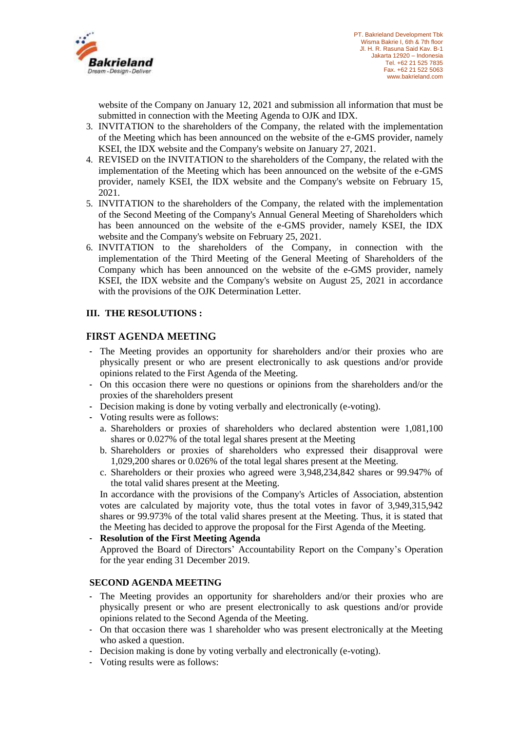

website of the Company on January 12, 2021 and submission all information that must be submitted in connection with the Meeting Agenda to OJK and IDX.

- 3. INVITATION to the shareholders of the Company, the related with the implementation of the Meeting which has been announced on the website of the e-GMS provider, namely KSEI, the IDX website and the Company's website on January 27, 2021.
- 4. REVISED on the INVITATION to the shareholders of the Company, the related with the implementation of the Meeting which has been announced on the website of the e-GMS provider, namely KSEI, the IDX website and the Company's website on February 15, 2021.
- 5. INVITATION to the shareholders of the Company, the related with the implementation of the Second Meeting of the Company's Annual General Meeting of Shareholders which has been announced on the website of the e-GMS provider, namely KSEI, the IDX website and the Company's website on February 25, 2021.
- 6. INVITATION to the shareholders of the Company, in connection with the implementation of the Third Meeting of the General Meeting of Shareholders of the Company which has been announced on the website of the e-GMS provider, namely KSEI, the IDX website and the Company's website on August 25, 2021 in accordance with the provisions of the OJK Determination Letter.

## **III. THE RESOLUTIONS :**

## **FIRST AGENDA MEETING**

- The Meeting provides an opportunity for shareholders and/or their proxies who are physically present or who are present electronically to ask questions and/or provide opinions related to the First Agenda of the Meeting.
- On this occasion there were no questions or opinions from the shareholders and/or the proxies of the shareholders present
- Decision making is done by voting verbally and electronically (e-voting).
- Voting results were as follows:
	- a. Shareholders or proxies of shareholders who declared abstention were 1,081,100 shares or 0.027% of the total legal shares present at the Meeting
	- b. Shareholders or proxies of shareholders who expressed their disapproval were 1,029,200 shares or 0.026% of the total legal shares present at the Meeting.
	- c. Shareholders or their proxies who agreed were 3,948,234,842 shares or 99.947% of the total valid shares present at the Meeting.

In accordance with the provisions of the Company's Articles of Association, abstention votes are calculated by majority vote, thus the total votes in favor of 3,949,315,942 shares or 99.973% of the total valid shares present at the Meeting. Thus, it is stated that the Meeting has decided to approve the proposal for the First Agenda of the Meeting.

- **Resolution of the First Meeting Agenda** Approved the Board of Directors' Accountability Report on the Company's Operation for the year ending 31 December 2019.

## **SECOND AGENDA MEETING**

- The Meeting provides an opportunity for shareholders and/or their proxies who are physically present or who are present electronically to ask questions and/or provide opinions related to the Second Agenda of the Meeting.
- On that occasion there was 1 shareholder who was present electronically at the Meeting who asked a question.
- Decision making is done by voting verbally and electronically (e-voting).
- Voting results were as follows: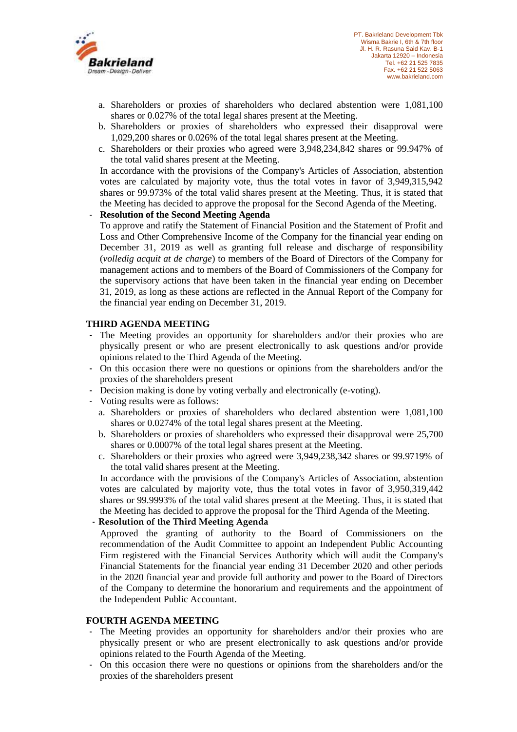

- a. Shareholders or proxies of shareholders who declared abstention were 1,081,100 shares or 0.027% of the total legal shares present at the Meeting.
- b. Shareholders or proxies of shareholders who expressed their disapproval were 1,029,200 shares or 0.026% of the total legal shares present at the Meeting.
- c. Shareholders or their proxies who agreed were 3,948,234,842 shares or 99.947% of the total valid shares present at the Meeting.

In accordance with the provisions of the Company's Articles of Association, abstention votes are calculated by majority vote, thus the total votes in favor of 3,949,315,942 shares or 99.973% of the total valid shares present at the Meeting. Thus, it is stated that the Meeting has decided to approve the proposal for the Second Agenda of the Meeting.

#### - **Resolution of the Second Meeting Agenda**

To approve and ratify the Statement of Financial Position and the Statement of Profit and Loss and Other Comprehensive Income of the Company for the financial year ending on December 31, 2019 as well as granting full release and discharge of responsibility (*volledig acquit at de charge*) to members of the Board of Directors of the Company for management actions and to members of the Board of Commissioners of the Company for the supervisory actions that have been taken in the financial year ending on December 31, 2019, as long as these actions are reflected in the Annual Report of the Company for the financial year ending on December 31, 2019.

#### **THIRD AGENDA MEETING**

- The Meeting provides an opportunity for shareholders and/or their proxies who are physically present or who are present electronically to ask questions and/or provide opinions related to the Third Agenda of the Meeting.
- On this occasion there were no questions or opinions from the shareholders and/or the proxies of the shareholders present
- Decision making is done by voting verbally and electronically (e-voting).
- Voting results were as follows:
	- a. Shareholders or proxies of shareholders who declared abstention were 1,081,100 shares or 0.0274% of the total legal shares present at the Meeting.
	- b. Shareholders or proxies of shareholders who expressed their disapproval were 25,700 shares or 0.0007% of the total legal shares present at the Meeting.
	- c. Shareholders or their proxies who agreed were 3,949,238,342 shares or 99.9719% of the total valid shares present at the Meeting.

In accordance with the provisions of the Company's Articles of Association, abstention votes are calculated by majority vote, thus the total votes in favor of 3,950,319,442 shares or 99.9993% of the total valid shares present at the Meeting. Thus, it is stated that the Meeting has decided to approve the proposal for the Third Agenda of the Meeting.

## - **Resolution of the Third Meeting Agenda**

Approved the granting of authority to the Board of Commissioners on the recommendation of the Audit Committee to appoint an Independent Public Accounting Firm registered with the Financial Services Authority which will audit the Company's Financial Statements for the financial year ending 31 December 2020 and other periods in the 2020 financial year and provide full authority and power to the Board of Directors of the Company to determine the honorarium and requirements and the appointment of the Independent Public Accountant.

## **FOURTH AGENDA MEETING**

- The Meeting provides an opportunity for shareholders and/or their proxies who are physically present or who are present electronically to ask questions and/or provide opinions related to the Fourth Agenda of the Meeting.
- On this occasion there were no questions or opinions from the shareholders and/or the proxies of the shareholders present